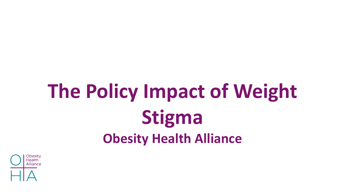## **The Policy Impact of Weight Stigma Obesity Health Alliance**

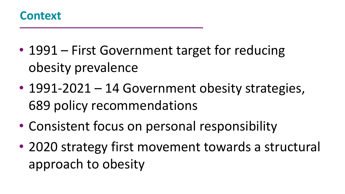

- 1991 First Government target for reducing obesity prevalence
- 1991-2021 14 Government obesity strategies, 689 policy recommendations
- Consistent focus on personal responsibility
- 2020 strategy first movement towards a structural approach to obesity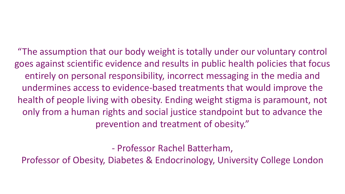"The assumption that our body weight is totally under our voluntary control goes against scientific evidence and results in public health policies that focus entirely on personal responsibility, incorrect messaging in the media and undermines access to evidence-based treatments that would improve the health of people living with obesity. Ending weight stigma is paramount, not only from a human rights and social justice standpoint but to advance the prevention and treatment of obesity."

- Professor Rachel Batterham,

Professor of Obesity, Diabetes & Endocrinology, University College London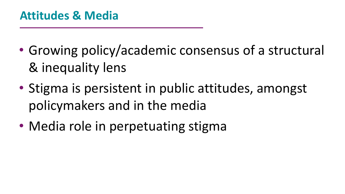- Growing policy/academic consensus of a structural & inequality lens
- Stigma is persistent in public attitudes, amongst policymakers and in the media
- Media role in perpetuating stigma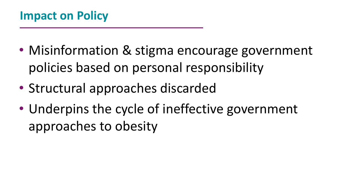- Misinformation & stigma encourage government policies based on personal responsibility
- Structural approaches discarded
- Underpins the cycle of ineffective government approaches to obesity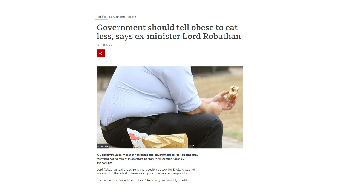Politics | Parliaments | Brexit

## Government should tell obese to eat less, says ex-minister Lord Robathan

© 21 October

 $\prec$ 



A Conservative ex-minister has urged the government to "tell people they must not eat so much" in an effort to stop them getting "grossly overweight".

Lord Robathan said the current anti-obesity strategy for England was not working and there had to be more emphasis on personal responsibility.

It should not be "socially acceptable" to be very overweight, he added.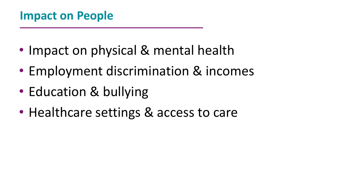- Impact on physical & mental health
- Employment discrimination & incomes
- Education & bullying
- Healthcare settings & access to care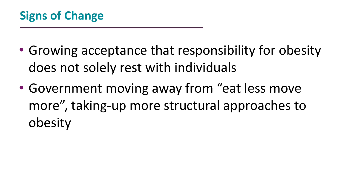- Growing acceptance that responsibility for obesity does not solely rest with individuals
- Government moving away from "eat less move more", taking-up more structural approaches to obesity